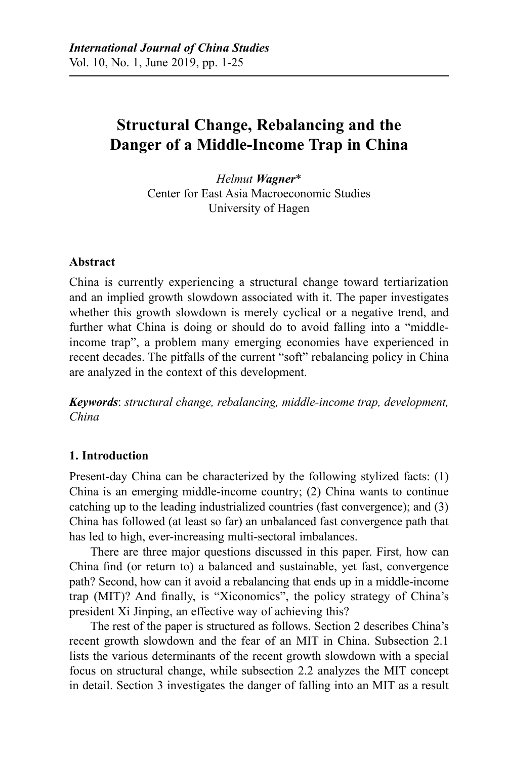# **Structural Change, Rebalancing and the Danger of a Middle-Income Trap in China**

*Helmut Wagner*\* Center for East Asia Macroeconomic Studies University of Hagen

# **Abstract**

China is currently experiencing a structural change toward tertiarization and an implied growth slowdown associated with it. The paper investigates whether this growth slowdown is merely cyclical or a negative trend, and further what China is doing or should do to avoid falling into a "middleincome trap", a problem many emerging economies have experienced in recent decades. The pitfalls of the current "soft" rebalancing policy in China are analyzed in the context of this development.

*Keywords*: *structural change, rebalancing, middle-income trap, development, China*

# **1. Introduction**

Present-day China can be characterized by the following stylized facts: (1) China is an emerging middle-income country; (2) China wants to continue catching up to the leading industrialized countries (fast convergence); and (3) China has followed (at least so far) an unbalanced fast convergence path that has led to high, ever-increasing multi-sectoral imbalances.

There are three major questions discussed in this paper. First, how can China find (or return to) a balanced and sustainable, yet fast, convergence path? Second, how can it avoid a rebalancing that ends up in a middle-income trap (MIT)? And finally, is "Xiconomics", the policy strategy of China's president Xi Jinping, an effective way of achieving this?

The rest of the paper is structured as follows. Section 2 describes China's recent growth slowdown and the fear of an MIT in China. Subsection 2.1 lists the various determinants of the recent growth slowdown with a special focus on structural change, while subsection 2.2 analyzes the MIT concept in detail. Section 3 investigates the danger of falling into an MIT as a result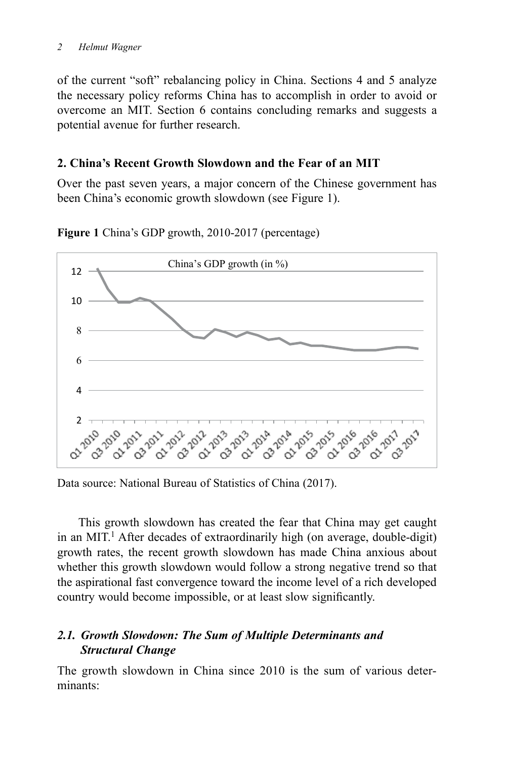of the current "soft" rebalancing policy in China. Sections 4 and 5 analyze the necessary policy reforms China has to accomplish in order to avoid or overcome an MIT. Section 6 contains concluding remarks and suggests a potential avenue for further research.

# **2. China's Recent Growth Slowdown and the Fear of an MIT**

Over the past seven years, a major concern of the Chinese government has been China's economic growth slowdown (see Figure 1).



**Figure 1** China's GDP growth, 2010-2017 (percentage)

Data source: National Bureau of Statistics of China (2017).

This growth slowdown has created the fear that China may get caught in an MIT.<sup>1</sup> After decades of extraordinarily high (on average, double-digit) growth rates, the recent growth slowdown has made China anxious about whether this growth slowdown would follow a strong negative trend so that the aspirational fast convergence toward the income level of a rich developed country would become impossible, or at least slow significantly.

# *2.1. Growth Slowdown: The Sum of Multiple Determinants and Structural Change*

The growth slowdown in China since 2010 is the sum of various determinants: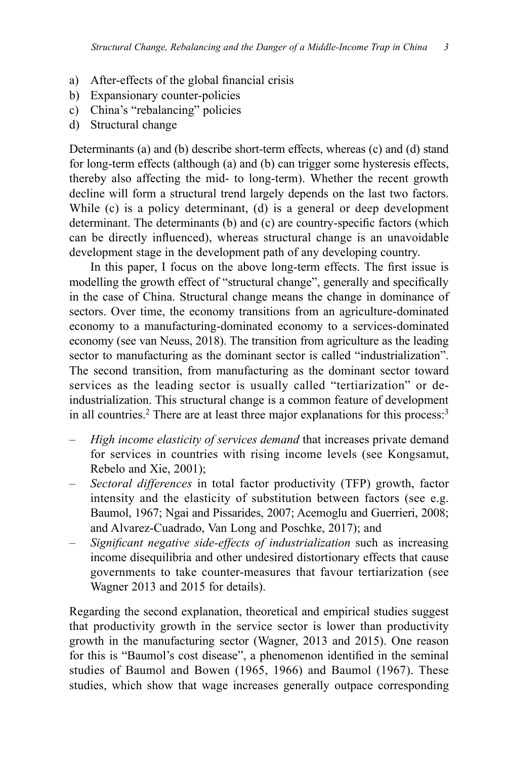- a) After-effects of the global financial crisis
- b) Expansionary counter-policies
- c) China's "rebalancing" policies
- d) Structural change

Determinants (a) and (b) describe short-term effects, whereas (c) and (d) stand for long-term effects (although (a) and (b) can trigger some hysteresis effects, thereby also affecting the mid- to long-term). Whether the recent growth decline will form a structural trend largely depends on the last two factors. While (c) is a policy determinant, (d) is a general or deep development determinant. The determinants (b) and (c) are country-specific factors (which can be directly influenced), whereas structural change is an unavoidable development stage in the development path of any developing country.

In this paper, I focus on the above long-term effects. The first issue is modelling the growth effect of "structural change", generally and specifically in the case of China. Structural change means the change in dominance of sectors. Over time, the economy transitions from an agriculture-dominated economy to a manufacturing-dominated economy to a services-dominated economy (see van Neuss, 2018). The transition from agriculture as the leading sector to manufacturing as the dominant sector is called "industrialization". The second transition, from manufacturing as the dominant sector toward services as the leading sector is usually called "tertiarization" or deindustrialization. This structural change is a common feature of development in all countries.<sup>2</sup> There are at least three major explanations for this process:<sup>3</sup>

- *High income elasticity of services demand* that increases private demand for services in countries with rising income levels (see Kongsamut, Rebelo and Xie, 2001);
- *Sectoral differences* in total factor productivity (TFP) growth, factor intensity and the elasticity of substitution between factors (see e.g. Baumol, 1967; Ngai and Pissarides, 2007; Acemoglu and Guerrieri, 2008; and Alvarez-Cuadrado, Van Long and Poschke, 2017); and
- *Significant negative side-effects of industrialization* such as increasing income disequilibria and other undesired distortionary effects that cause governments to take counter-measures that favour tertiarization (see Wagner 2013 and 2015 for details).

Regarding the second explanation, theoretical and empirical studies suggest that productivity growth in the service sector is lower than productivity growth in the manufacturing sector (Wagner, 2013 and 2015). One reason for this is "Baumol's cost disease", a phenomenon identified in the seminal studies of Baumol and Bowen (1965, 1966) and Baumol (1967). These studies, which show that wage increases generally outpace corresponding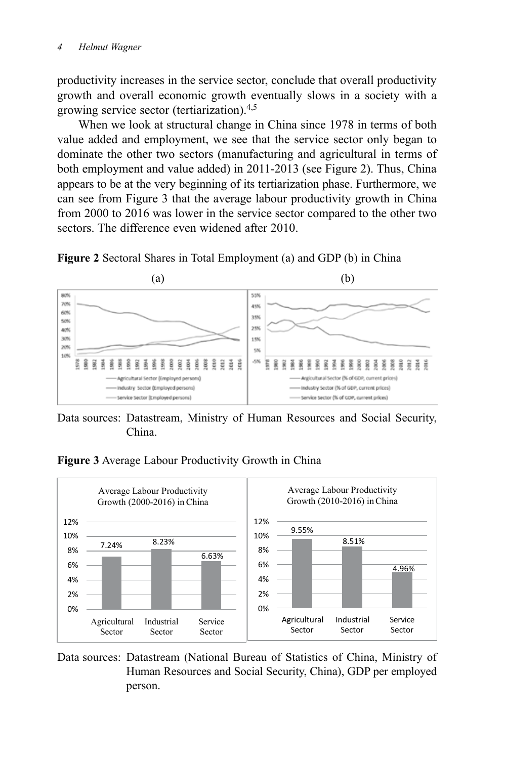productivity increases in the service sector, conclude that overall productivity growth and overall economic growth eventually slows in a society with a growing service sector (tertiarization).4,5

When we look at structural change in China since 1978 in terms of both value added and employment, we see that the service sector only began to dominate the other two sectors (manufacturing and agricultural in terms of both employment and value added) in 2011-2013 (see Figure 2). Thus, China appears to be at the very beginning of its tertiarization phase. Furthermore, we can see from Figure 3 that the average labour productivity growth in China from 2000 to 2016 was lower in the service sector compared to the other two sectors. The difference even widened after 2010.





Data sources: Datastream, Ministry of Human Resources and Social Security, China.

**Figure 3** Average Labour Productivity Growth in China



Data sources: Datastream (National Bureau of Statistics of China, Ministry of Human Resources and Social Security, China), GDP per employed person.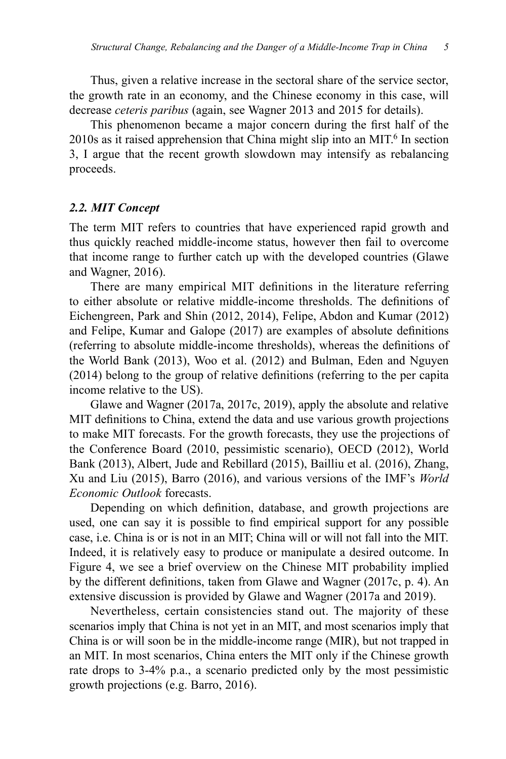Thus, given a relative increase in the sectoral share of the service sector, the growth rate in an economy, and the Chinese economy in this case, will decrease *ceteris paribus* (again, see Wagner 2013 and 2015 for details).

This phenomenon became a major concern during the first half of the  $2010s$  as it raised apprehension that China might slip into an MIT.<sup>6</sup> In section 3, I argue that the recent growth slowdown may intensify as rebalancing proceeds.

### *2.2. MIT Concept*

The term MIT refers to countries that have experienced rapid growth and thus quickly reached middle-income status, however then fail to overcome that income range to further catch up with the developed countries (Glawe and Wagner, 2016).

There are many empirical MIT definitions in the literature referring to either absolute or relative middle-income thresholds. The definitions of Eichengreen, Park and Shin (2012, 2014), Felipe, Abdon and Kumar (2012) and Felipe, Kumar and Galope (2017) are examples of absolute definitions (referring to absolute middle-income thresholds), whereas the definitions of the World Bank (2013), Woo et al. (2012) and Bulman, Eden and Nguyen (2014) belong to the group of relative definitions (referring to the per capita income relative to the US).

Glawe and Wagner (2017a, 2017c, 2019), apply the absolute and relative MIT definitions to China, extend the data and use various growth projections to make MIT forecasts. For the growth forecasts, they use the projections of the Conference Board (2010, pessimistic scenario), OECD (2012), World Bank (2013), Albert, Jude and Rebillard (2015), Bailliu et al. (2016), Zhang, Xu and Liu (2015), Barro (2016), and various versions of the IMF's *World Economic Outlook* forecasts.

Depending on which definition, database, and growth projections are used, one can say it is possible to find empirical support for any possible case, i.e. China is or is not in an MIT; China will or will not fall into the MIT. Indeed, it is relatively easy to produce or manipulate a desired outcome. In Figure 4, we see a brief overview on the Chinese MIT probability implied by the different definitions, taken from Glawe and Wagner (2017c, p. 4). An extensive discussion is provided by Glawe and Wagner (2017a and 2019).

Nevertheless, certain consistencies stand out. The majority of these scenarios imply that China is not yet in an MIT, and most scenarios imply that China is or will soon be in the middle-income range (MIR), but not trapped in an MIT. In most scenarios, China enters the MIT only if the Chinese growth rate drops to 3-4% p.a., a scenario predicted only by the most pessimistic growth projections (e.g. Barro, 2016).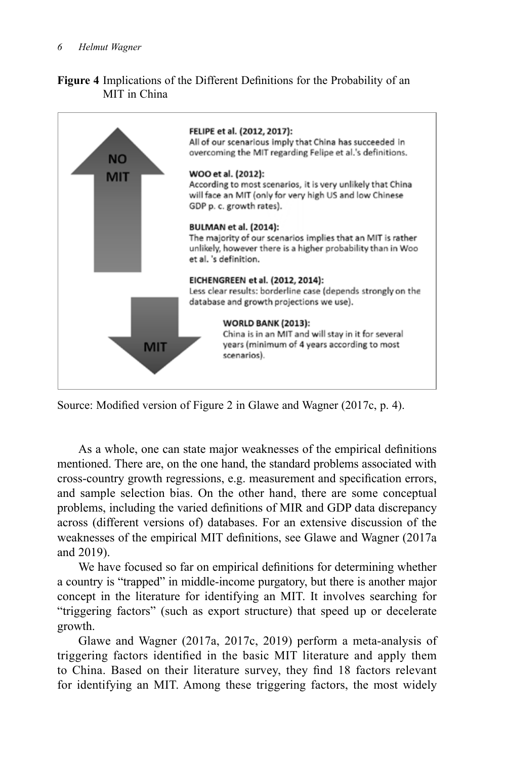# **Figure 4** Implications of the Different Definitions for the Probability of an MIT in China



Source: Modified version of Figure 2 in Glawe and Wagner (2017c, p. 4).

As a whole, one can state major weaknesses of the empirical definitions mentioned. There are, on the one hand, the standard problems associated with cross-country growth regressions, e.g. measurement and specification errors, and sample selection bias. On the other hand, there are some conceptual problems, including the varied definitions of MIR and GDP data discrepancy across (different versions of) databases. For an extensive discussion of the weaknesses of the empirical MIT definitions, see Glawe and Wagner (2017a and 2019).

We have focused so far on empirical definitions for determining whether a country is "trapped" in middle-income purgatory, but there is another major concept in the literature for identifying an MIT. It involves searching for "triggering factors" (such as export structure) that speed up or decelerate growth.

Glawe and Wagner (2017a, 2017c, 2019) perform a meta-analysis of triggering factors identified in the basic MIT literature and apply them to China. Based on their literature survey, they find 18 factors relevant for identifying an MIT. Among these triggering factors, the most widely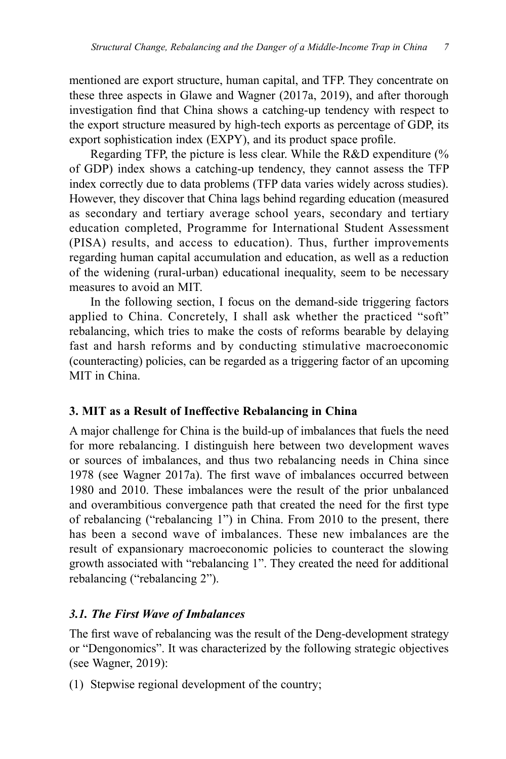mentioned are export structure, human capital, and TFP. They concentrate on these three aspects in Glawe and Wagner (2017a, 2019), and after thorough investigation find that China shows a catching-up tendency with respect to the export structure measured by high-tech exports as percentage of GDP, its export sophistication index (EXPY), and its product space profile.

Regarding TFP, the picture is less clear. While the R&D expenditure (% of GDP) index shows a catching-up tendency, they cannot assess the TFP index correctly due to data problems (TFP data varies widely across studies). However, they discover that China lags behind regarding education (measured as secondary and tertiary average school years, secondary and tertiary education completed, Programme for International Student Assessment (PISA) results, and access to education). Thus, further improvements regarding human capital accumulation and education, as well as a reduction of the widening (rural-urban) educational inequality, seem to be necessary measures to avoid an MIT.

In the following section, I focus on the demand-side triggering factors applied to China. Concretely, I shall ask whether the practiced "soft" rebalancing, which tries to make the costs of reforms bearable by delaying fast and harsh reforms and by conducting stimulative macroeconomic (counteracting) policies, can be regarded as a triggering factor of an upcoming MIT in China.

# **3. MIT as a Result of Ineffective Rebalancing in China**

A major challenge for China is the build-up of imbalances that fuels the need for more rebalancing. I distinguish here between two development waves or sources of imbalances, and thus two rebalancing needs in China since 1978 (see Wagner 2017a). The first wave of imbalances occurred between 1980 and 2010. These imbalances were the result of the prior unbalanced and overambitious convergence path that created the need for the first type of rebalancing ("rebalancing 1") in China. From 2010 to the present, there has been a second wave of imbalances. These new imbalances are the result of expansionary macroeconomic policies to counteract the slowing growth associated with "rebalancing 1". They created the need for additional rebalancing ("rebalancing 2").

# *3.1. The First Wave of Imbalances*

The first wave of rebalancing was the result of the Deng-development strategy or "Dengonomics". It was characterized by the following strategic objectives (see Wagner, 2019):

(1) Stepwise regional development of the country;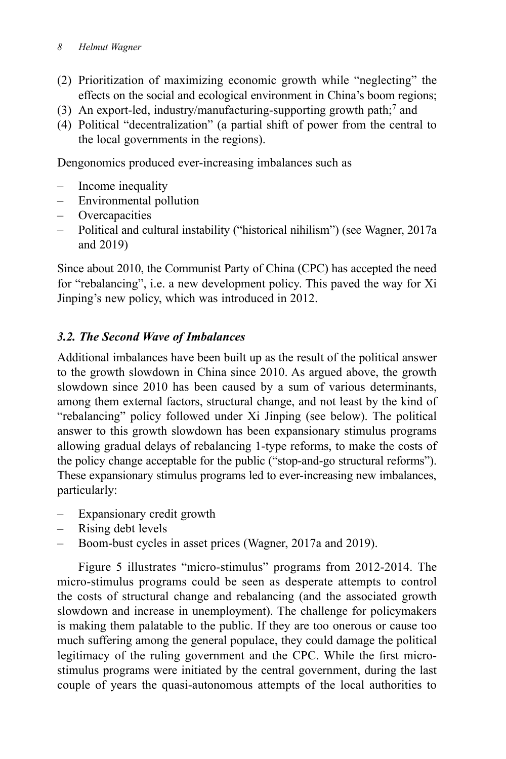### *8 Helmut Wagner*

- (2) Prioritization of maximizing economic growth while "neglecting" the effects on the social and ecological environment in China's boom regions;
- (3) An export-led, industry/manufacturing-supporting growth path;<sup>7</sup> and
- (4) Political "decentralization" (a partial shift of power from the central to the local governments in the regions).

Dengonomics produced ever-increasing imbalances such as

- Income inequality
- Environmental pollution
- Overcapacities
- Political and cultural instability ("historical nihilism") (see Wagner, 2017a and 2019)

Since about 2010, the Communist Party of China (CPC) has accepted the need for "rebalancing", i.e. a new development policy. This paved the way for Xi Jinping's new policy, which was introduced in 2012.

# *3.2. The Second Wave of Imbalances*

Additional imbalances have been built up as the result of the political answer to the growth slowdown in China since 2010. As argued above, the growth slowdown since 2010 has been caused by a sum of various determinants, among them external factors, structural change, and not least by the kind of "rebalancing" policy followed under Xi Jinping (see below). The political answer to this growth slowdown has been expansionary stimulus programs allowing gradual delays of rebalancing 1-type reforms, to make the costs of the policy change acceptable for the public ("stop-and-go structural reforms"). These expansionary stimulus programs led to ever-increasing new imbalances, particularly:

- Expansionary credit growth
- Rising debt levels
- Boom-bust cycles in asset prices (Wagner, 2017a and 2019).

Figure 5 illustrates "micro-stimulus" programs from 2012-2014. The micro-stimulus programs could be seen as desperate attempts to control the costs of structural change and rebalancing (and the associated growth slowdown and increase in unemployment). The challenge for policymakers is making them palatable to the public. If they are too onerous or cause too much suffering among the general populace, they could damage the political legitimacy of the ruling government and the CPC. While the first microstimulus programs were initiated by the central government, during the last couple of years the quasi-autonomous attempts of the local authorities to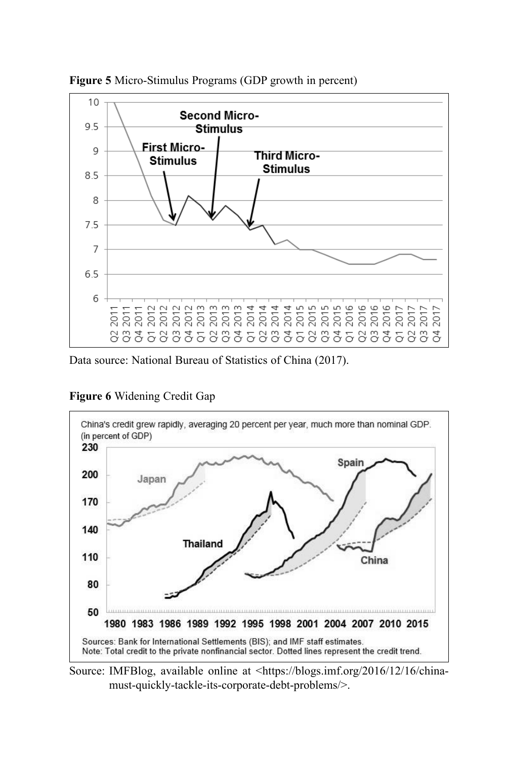

**Figure 5** Micro-Stimulus Programs (GDP growth in percent)

Data source: National Bureau of Statistics of China (2017).



**Figure 6** Widening Credit Gap

Source: IMFBlog, available online at <https://blogs.imf.org/2016/12/16/chinamust-quickly-tackle-its-corporate-debt-problems/>.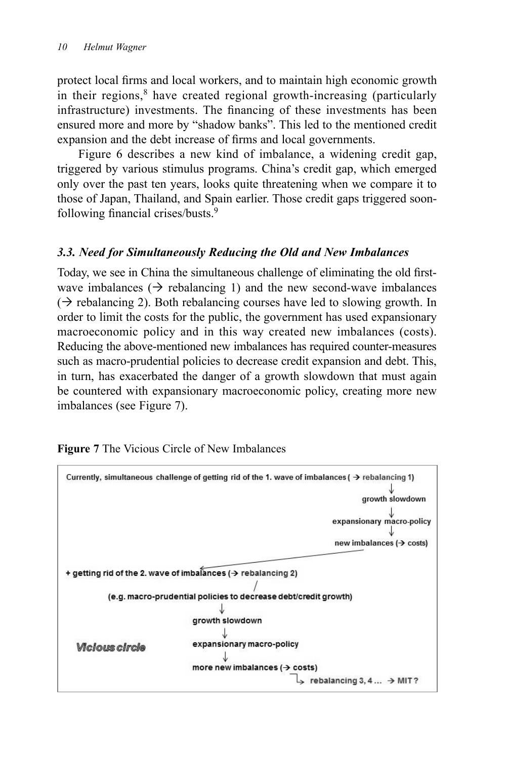protect local firms and local workers, and to maintain high economic growth in their regions, $8$  have created regional growth-increasing (particularly infrastructure) investments. The financing of these investments has been ensured more and more by "shadow banks". This led to the mentioned credit expansion and the debt increase of firms and local governments.

Figure 6 describes a new kind of imbalance, a widening credit gap, triggered by various stimulus programs. China's credit gap, which emerged only over the past ten years, looks quite threatening when we compare it to those of Japan, Thailand, and Spain earlier. Those credit gaps triggered soonfollowing financial crises/busts.<sup>9</sup>

# *3.3. Need for Simultaneously Reducing the Old and New Imbalances*

Today, we see in China the simultaneous challenge of eliminating the old firstwave imbalances ( $\rightarrow$  rebalancing 1) and the new second-wave imbalances  $(\rightarrow$  rebalancing 2). Both rebalancing courses have led to slowing growth. In order to limit the costs for the public, the government has used expansionary macroeconomic policy and in this way created new imbalances (costs). Reducing the above-mentioned new imbalances has required counter-measures such as macro-prudential policies to decrease credit expansion and debt. This, in turn, has exacerbated the danger of a growth slowdown that must again be countered with expansionary macroeconomic policy, creating more new imbalances (see Figure 7).



**Figure 7** The Vicious Circle of New Imbalances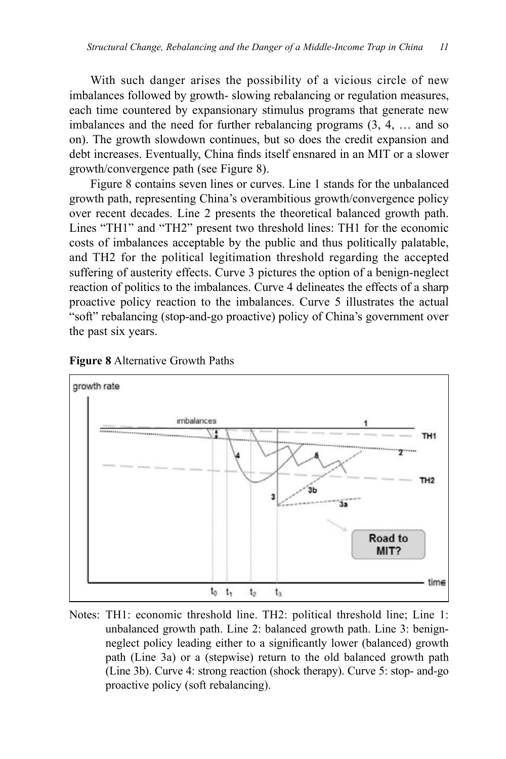With such danger arises the possibility of a vicious circle of new imbalances followed by growth- slowing rebalancing or regulation measures, each time countered by expansionary stimulus programs that generate new imbalances and the need for further rebalancing programs (3, 4, … and so on). The growth slowdown continues, but so does the credit expansion and debt increases. Eventually, China finds itself ensnared in an MIT or a slower growth/convergence path (see Figure 8).

Figure 8 contains seven lines or curves. Line 1 stands for the unbalanced growth path, representing China's overambitious growth/convergence policy over recent decades. Line 2 presents the theoretical balanced growth path. Lines "TH1" and "TH2" present two threshold lines: TH1 for the economic costs of imbalances acceptable by the public and thus politically palatable, and TH2 for the political legitimation threshold regarding the accepted suffering of austerity effects. Curve 3 pictures the option of a benign-neglect reaction of politics to the imbalances. Curve 4 delineates the effects of a sharp proactive policy reaction to the imbalances. Curve 5 illustrates the actual "soft" rebalancing (stop-and-go proactive) policy of China's government over the past six years.



**Figure 8** Alternative Growth Paths

Notes: TH1: economic threshold line. TH2: political threshold line; Line 1: unbalanced growth path. Line 2: balanced growth path. Line 3: benignneglect policy leading either to a significantly lower (balanced) growth path (Line 3a) or a (stepwise) return to the old balanced growth path (Line 3b). Curve 4: strong reaction (shock therapy). Curve 5: stop- and-go proactive policy (soft rebalancing).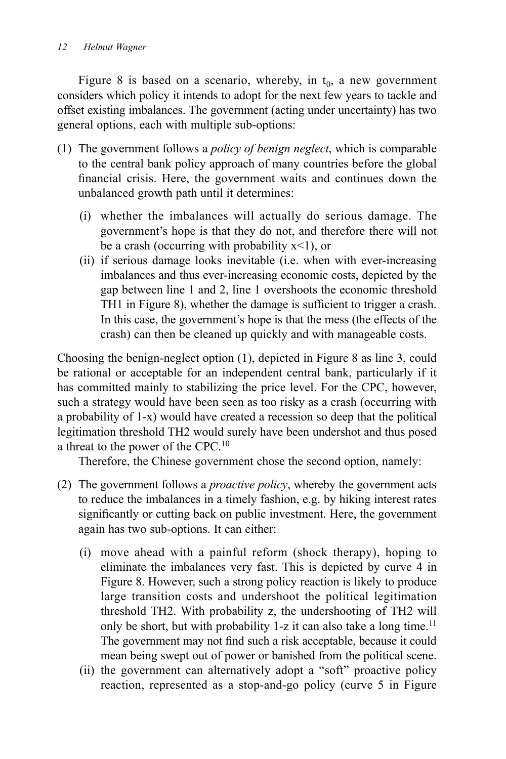Figure 8 is based on a scenario, whereby, in  $t_0$ , a new government considers which policy it intends to adopt for the next few years to tackle and offset existing imbalances. The government (acting under uncertainty) has two general options, each with multiple sub-options:

- (1) The government follows a *policy of benign neglect*, which is comparable to the central bank policy approach of many countries before the global financial crisis. Here, the government waits and continues down the unbalanced growth path until it determines:
	- (i) whether the imbalances will actually do serious damage. The government's hope is that they do not, and therefore there will not be a crash (occurring with probability  $x<1$ ), or
	- (ii) if serious damage looks inevitable (i.e. when with ever-increasing imbalances and thus ever-increasing economic costs, depicted by the gap between line 1 and 2, line 1 overshoots the economic threshold TH1 in Figure 8), whether the damage is sufficient to trigger a crash. In this case, the government's hope is that the mess (the effects of the crash) can then be cleaned up quickly and with manageable costs.

Choosing the benign-neglect option (1), depicted in Figure 8 as line 3, could be rational or acceptable for an independent central bank, particularly if it has committed mainly to stabilizing the price level. For the CPC, however, such a strategy would have been seen as too risky as a crash (occurring with a probability of 1-x) would have created a recession so deep that the political legitimation threshold TH2 would surely have been undershot and thus posed a threat to the power of the CPC.10

Therefore, the Chinese government chose the second option, namely:

- (2) The government follows a *proactive policy*, whereby the government acts to reduce the imbalances in a timely fashion, e.g. by hiking interest rates significantly or cutting back on public investment. Here, the government again has two sub-options. It can either:
	- (i) move ahead with a painful reform (shock therapy), hoping to eliminate the imbalances very fast. This is depicted by curve 4 in Figure 8. However, such a strong policy reaction is likely to produce large transition costs and undershoot the political legitimation threshold TH2. With probability z, the undershooting of TH2 will only be short, but with probability 1-z it can also take a long time.<sup>11</sup> The government may not find such a risk acceptable, because it could mean being swept out of power or banished from the political scene.
	- (ii) the government can alternatively adopt a "soft" proactive policy reaction, represented as a stop-and-go policy (curve 5 in Figure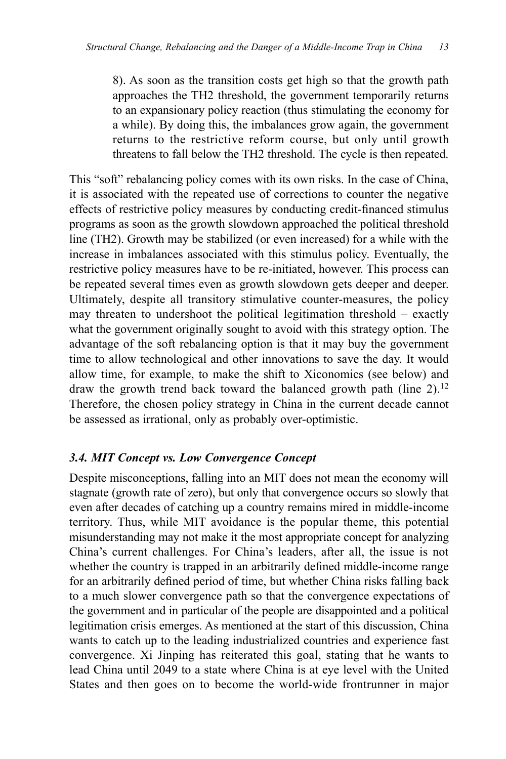8). As soon as the transition costs get high so that the growth path approaches the TH2 threshold, the government temporarily returns to an expansionary policy reaction (thus stimulating the economy for a while). By doing this, the imbalances grow again, the government returns to the restrictive reform course, but only until growth threatens to fall below the TH2 threshold. The cycle is then repeated.

This "soft" rebalancing policy comes with its own risks. In the case of China, it is associated with the repeated use of corrections to counter the negative effects of restrictive policy measures by conducting credit-financed stimulus programs as soon as the growth slowdown approached the political threshold line (TH2). Growth may be stabilized (or even increased) for a while with the increase in imbalances associated with this stimulus policy. Eventually, the restrictive policy measures have to be re-initiated, however. This process can be repeated several times even as growth slowdown gets deeper and deeper. Ultimately, despite all transitory stimulative counter-measures, the policy may threaten to undershoot the political legitimation threshold – exactly what the government originally sought to avoid with this strategy option. The advantage of the soft rebalancing option is that it may buy the government time to allow technological and other innovations to save the day. It would allow time, for example, to make the shift to Xiconomics (see below) and draw the growth trend back toward the balanced growth path (line  $2$ ).<sup>12</sup> Therefore, the chosen policy strategy in China in the current decade cannot be assessed as irrational, only as probably over-optimistic.

# *3.4. MIT Concept vs. Low Convergence Concept*

Despite misconceptions, falling into an MIT does not mean the economy will stagnate (growth rate of zero), but only that convergence occurs so slowly that even after decades of catching up a country remains mired in middle-income territory. Thus, while MIT avoidance is the popular theme, this potential misunderstanding may not make it the most appropriate concept for analyzing China's current challenges. For China's leaders, after all, the issue is not whether the country is trapped in an arbitrarily defined middle-income range for an arbitrarily defined period of time, but whether China risks falling back to a much slower convergence path so that the convergence expectations of the government and in particular of the people are disappointed and a political legitimation crisis emerges. As mentioned at the start of this discussion, China wants to catch up to the leading industrialized countries and experience fast convergence. Xi Jinping has reiterated this goal, stating that he wants to lead China until 2049 to a state where China is at eye level with the United States and then goes on to become the world-wide frontrunner in major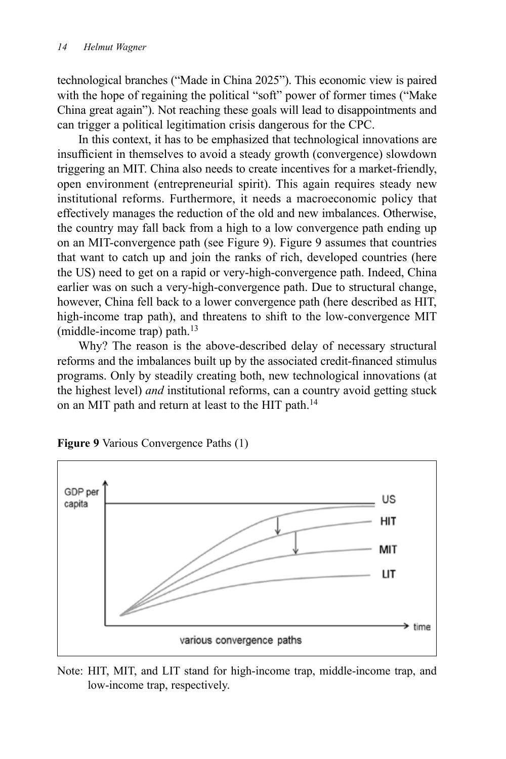technological branches ("Made in China 2025"). This economic view is paired with the hope of regaining the political "soft" power of former times ("Make China great again"). Not reaching these goals will lead to disappointments and can trigger a political legitimation crisis dangerous for the CPC.

In this context, it has to be emphasized that technological innovations are insufficient in themselves to avoid a steady growth (convergence) slowdown triggering an MIT. China also needs to create incentives for a market-friendly, open environment (entrepreneurial spirit). This again requires steady new institutional reforms. Furthermore, it needs a macroeconomic policy that effectively manages the reduction of the old and new imbalances. Otherwise, the country may fall back from a high to a low convergence path ending up on an MIT-convergence path (see Figure 9). Figure 9 assumes that countries that want to catch up and join the ranks of rich, developed countries (here the US) need to get on a rapid or very-high-convergence path. Indeed, China earlier was on such a very-high-convergence path. Due to structural change, however, China fell back to a lower convergence path (here described as HIT, high-income trap path), and threatens to shift to the low-convergence MIT (middle-income trap) path. $^{13}$ 

Why? The reason is the above-described delay of necessary structural reforms and the imbalances built up by the associated credit-financed stimulus programs. Only by steadily creating both, new technological innovations (at the highest level) *and* institutional reforms, can a country avoid getting stuck on an MIT path and return at least to the HIT path.<sup>14</sup>



**Figure 9** Various Convergence Paths (1)

Note: HIT, MIT, and LIT stand for high-income trap, middle-income trap, and low-income trap, respectively.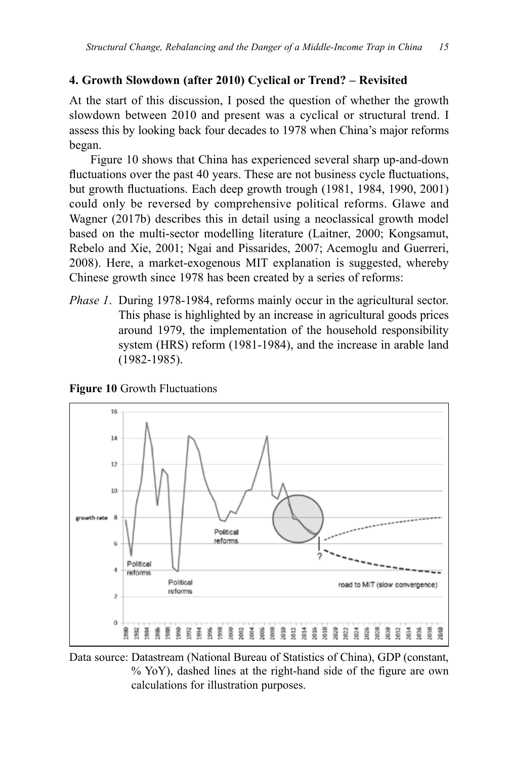### **4. Growth Slowdown (after 2010) Cyclical or Trend? – Revisited**

At the start of this discussion, I posed the question of whether the growth slowdown between 2010 and present was a cyclical or structural trend. I assess this by looking back four decades to 1978 when China's major reforms began.

Figure 10 shows that China has experienced several sharp up-and-down fluctuations over the past 40 years. These are not business cycle fluctuations, but growth fluctuations. Each deep growth trough (1981, 1984, 1990, 2001) could only be reversed by comprehensive political reforms. Glawe and Wagner (2017b) describes this in detail using a neoclassical growth model based on the multi-sector modelling literature (Laitner, 2000; Kongsamut, Rebelo and Xie, 2001; Ngai and Pissarides, 2007; Acemoglu and Guerreri, 2008). Here, a market-exogenous MIT explanation is suggested, whereby Chinese growth since 1978 has been created by a series of reforms:

*Phase 1*. During 1978-1984, reforms mainly occur in the agricultural sector. This phase is highlighted by an increase in agricultural goods prices around 1979, the implementation of the household responsibility system (HRS) reform (1981-1984), and the increase in arable land (1982-1985).

**Figure 10** Growth Fluctuations



Data source: Datastream (National Bureau of Statistics of China), GDP (constant, % YoY), dashed lines at the right-hand side of the figure are own calculations for illustration purposes.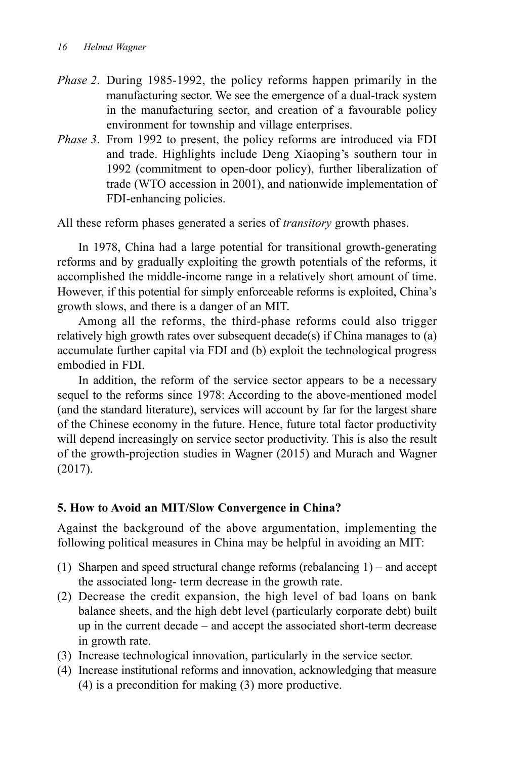- *Phase 2*. During 1985-1992, the policy reforms happen primarily in the manufacturing sector. We see the emergence of a dual-track system in the manufacturing sector, and creation of a favourable policy environment for township and village enterprises.
- *Phase 3*. From 1992 to present, the policy reforms are introduced via FDI and trade. Highlights include Deng Xiaoping's southern tour in 1992 (commitment to open-door policy), further liberalization of trade (WTO accession in 2001), and nationwide implementation of FDI-enhancing policies.

All these reform phases generated a series of *transitory* growth phases.

In 1978, China had a large potential for transitional growth-generating reforms and by gradually exploiting the growth potentials of the reforms, it accomplished the middle-income range in a relatively short amount of time. However, if this potential for simply enforceable reforms is exploited, China's growth slows, and there is a danger of an MIT.

Among all the reforms, the third-phase reforms could also trigger relatively high growth rates over subsequent decade(s) if China manages to  $(a)$ accumulate further capital via FDI and (b) exploit the technological progress embodied in FDI.

In addition, the reform of the service sector appears to be a necessary sequel to the reforms since 1978: According to the above-mentioned model (and the standard literature), services will account by far for the largest share of the Chinese economy in the future. Hence, future total factor productivity will depend increasingly on service sector productivity. This is also the result of the growth-projection studies in Wagner (2015) and Murach and Wagner (2017).

### **5. How to Avoid an MIT/Slow Convergence in China?**

Against the background of the above argumentation, implementing the following political measures in China may be helpful in avoiding an MIT:

- (1) Sharpen and speed structural change reforms (rebalancing 1) and accept the associated long- term decrease in the growth rate.
- (2) Decrease the credit expansion, the high level of bad loans on bank balance sheets, and the high debt level (particularly corporate debt) built up in the current decade – and accept the associated short-term decrease in growth rate.
- (3) Increase technological innovation, particularly in the service sector.
- (4) Increase institutional reforms and innovation, acknowledging that measure (4) is a precondition for making (3) more productive.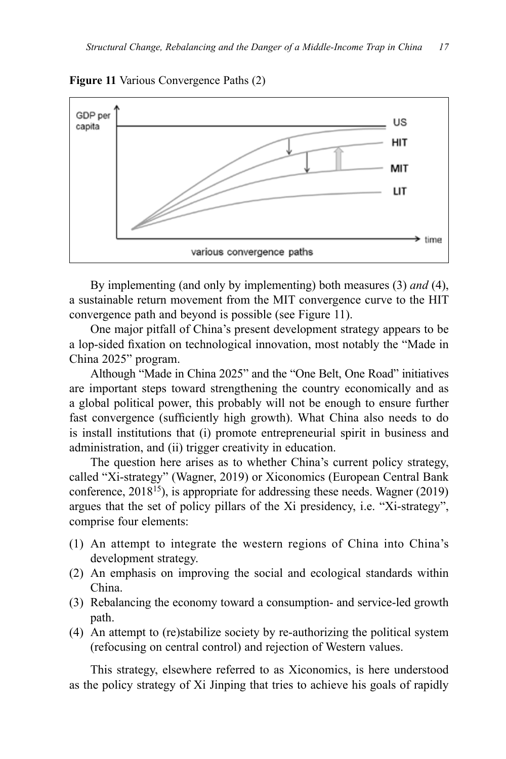**Figure 11** Various Convergence Paths (2)



By implementing (and only by implementing) both measures (3) *and* (4), a sustainable return movement from the MIT convergence curve to the HIT convergence path and beyond is possible (see Figure 11).

One major pitfall of China's present development strategy appears to be a lop-sided fixation on technological innovation, most notably the "Made in China 2025" program.

Although "Made in China 2025" and the "One Belt, One Road" initiatives are important steps toward strengthening the country economically and as a global political power, this probably will not be enough to ensure further fast convergence (sufficiently high growth). What China also needs to do is install institutions that (i) promote entrepreneurial spirit in business and administration, and (ii) trigger creativity in education.

The question here arises as to whether China's current policy strategy, called "Xi-strategy" (Wagner, 2019) or Xiconomics (European Central Bank conference,  $2018^{15}$ ), is appropriate for addressing these needs. Wagner (2019) argues that the set of policy pillars of the Xi presidency, i.e. "Xi-strategy", comprise four elements:

- (1) An attempt to integrate the western regions of China into China's development strategy.
- (2) An emphasis on improving the social and ecological standards within China.
- (3) Rebalancing the economy toward a consumption- and service-led growth path.
- (4) An attempt to (re)stabilize society by re-authorizing the political system (refocusing on central control) and rejection of Western values.

This strategy, elsewhere referred to as Xiconomics, is here understood as the policy strategy of Xi Jinping that tries to achieve his goals of rapidly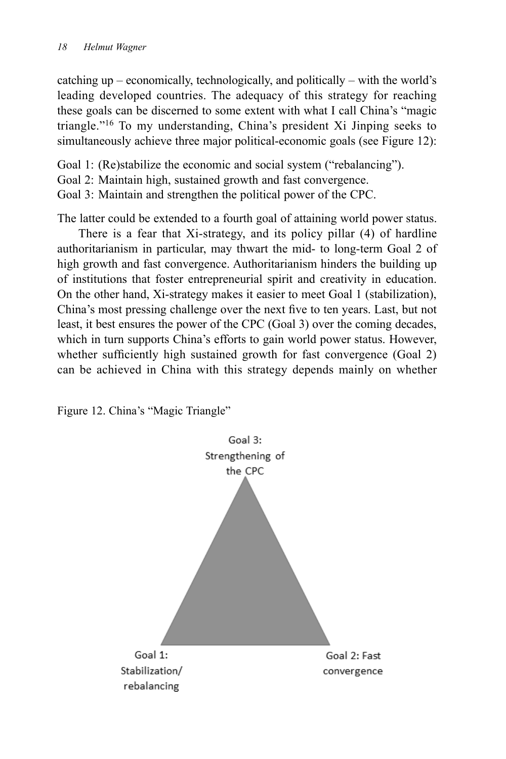catching up – economically, technologically, and politically – with the world's leading developed countries. The adequacy of this strategy for reaching these goals can be discerned to some extent with what I call China's "magic triangle."16 To my understanding, China's president Xi Jinping seeks to simultaneously achieve three major political-economic goals (see Figure 12):

- Goal 1: (Re)stabilize the economic and social system ("rebalancing").
- Goal 2: Maintain high, sustained growth and fast convergence.
- Goal 3: Maintain and strengthen the political power of the CPC.

The latter could be extended to a fourth goal of attaining world power status.

There is a fear that Xi-strategy, and its policy pillar (4) of hardline authoritarianism in particular, may thwart the mid- to long-term Goal 2 of high growth and fast convergence. Authoritarianism hinders the building up of institutions that foster entrepreneurial spirit and creativity in education. On the other hand, Xi-strategy makes it easier to meet Goal 1 (stabilization), China's most pressing challenge over the next five to ten years. Last, but not least, it best ensures the power of the CPC (Goal 3) over the coming decades, which in turn supports China's efforts to gain world power status. However, whether sufficiently high sustained growth for fast convergence (Goal 2) can be achieved in China with this strategy depends mainly on whether

Figure 12. China's "Magic Triangle"

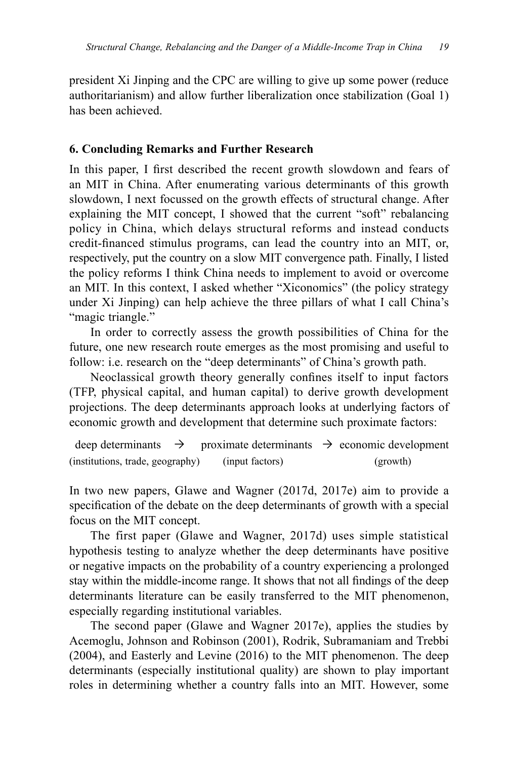president Xi Jinping and the CPC are willing to give up some power (reduce authoritarianism) and allow further liberalization once stabilization (Goal 1) has been achieved.

### **6. Concluding Remarks and Further Research**

In this paper, I first described the recent growth slowdown and fears of an MIT in China. After enumerating various determinants of this growth slowdown, I next focussed on the growth effects of structural change. After explaining the MIT concept, I showed that the current "soft" rebalancing policy in China, which delays structural reforms and instead conducts credit-financed stimulus programs, can lead the country into an MIT, or, respectively, put the country on a slow MIT convergence path. Finally, I listed the policy reforms I think China needs to implement to avoid or overcome an MIT. In this context, I asked whether "Xiconomics" (the policy strategy under Xi Jinping) can help achieve the three pillars of what I call China's "magic triangle."

In order to correctly assess the growth possibilities of China for the future, one new research route emerges as the most promising and useful to follow: i.e. research on the "deep determinants" of China's growth path.

Neoclassical growth theory generally confines itself to input factors (TFP, physical capital, and human capital) to derive growth development projections. The deep determinants approach looks at underlying factors of economic growth and development that determine such proximate factors:

deep determinants  $\rightarrow$  proximate determinants  $\rightarrow$  economic development (institutions, trade, geography) (input factors) (growth)

In two new papers, Glawe and Wagner (2017d, 2017e) aim to provide a specification of the debate on the deep determinants of growth with a special focus on the MIT concept.

The first paper (Glawe and Wagner, 2017d) uses simple statistical hypothesis testing to analyze whether the deep determinants have positive or negative impacts on the probability of a country experiencing a prolonged stay within the middle-income range. It shows that not all findings of the deep determinants literature can be easily transferred to the MIT phenomenon, especially regarding institutional variables.

The second paper (Glawe and Wagner 2017e), applies the studies by Acemoglu, Johnson and Robinson (2001), Rodrik, Subramaniam and Trebbi (2004), and Easterly and Levine (2016) to the MIT phenomenon. The deep determinants (especially institutional quality) are shown to play important roles in determining whether a country falls into an MIT. However, some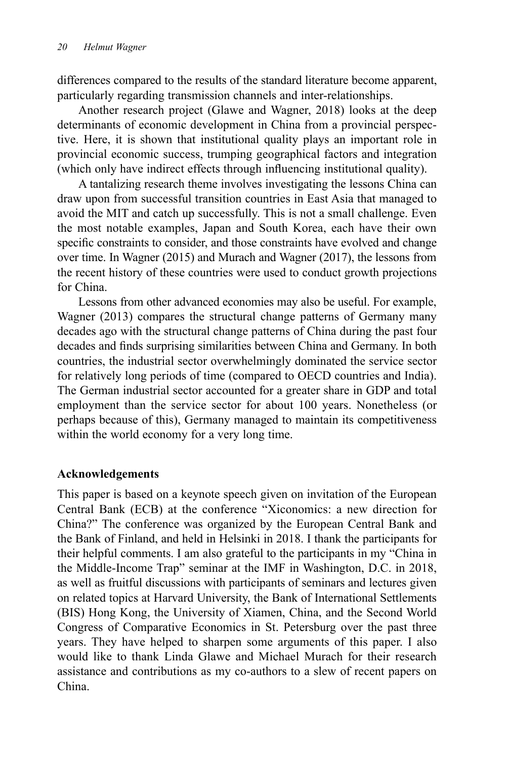differences compared to the results of the standard literature become apparent, particularly regarding transmission channels and inter-relationships.

Another research project (Glawe and Wagner, 2018) looks at the deep determinants of economic development in China from a provincial perspective. Here, it is shown that institutional quality plays an important role in provincial economic success, trumping geographical factors and integration (which only have indirect effects through influencing institutional quality).

A tantalizing research theme involves investigating the lessons China can draw upon from successful transition countries in East Asia that managed to avoid the MIT and catch up successfully. This is not a small challenge. Even the most notable examples, Japan and South Korea, each have their own specific constraints to consider, and those constraints have evolved and change over time. In Wagner (2015) and Murach and Wagner (2017), the lessons from the recent history of these countries were used to conduct growth projections for China.

Lessons from other advanced economies may also be useful. For example, Wagner (2013) compares the structural change patterns of Germany many decades ago with the structural change patterns of China during the past four decades and finds surprising similarities between China and Germany. In both countries, the industrial sector overwhelmingly dominated the service sector for relatively long periods of time (compared to OECD countries and India). The German industrial sector accounted for a greater share in GDP and total employment than the service sector for about 100 years. Nonetheless (or perhaps because of this), Germany managed to maintain its competitiveness within the world economy for a very long time.

# **Acknowledgements**

This paper is based on a keynote speech given on invitation of the European Central Bank (ECB) at the conference "Xiconomics: a new direction for China?" The conference was organized by the European Central Bank and the Bank of Finland, and held in Helsinki in 2018. I thank the participants for their helpful comments. I am also grateful to the participants in my "China in the Middle-Income Trap" seminar at the IMF in Washington, D.C. in 2018, as well as fruitful discussions with participants of seminars and lectures given on related topics at Harvard University, the Bank of International Settlements (BIS) Hong Kong, the University of Xiamen, China, and the Second World Congress of Comparative Economics in St. Petersburg over the past three years. They have helped to sharpen some arguments of this paper. I also would like to thank Linda Glawe and Michael Murach for their research assistance and contributions as my co-authors to a slew of recent papers on China.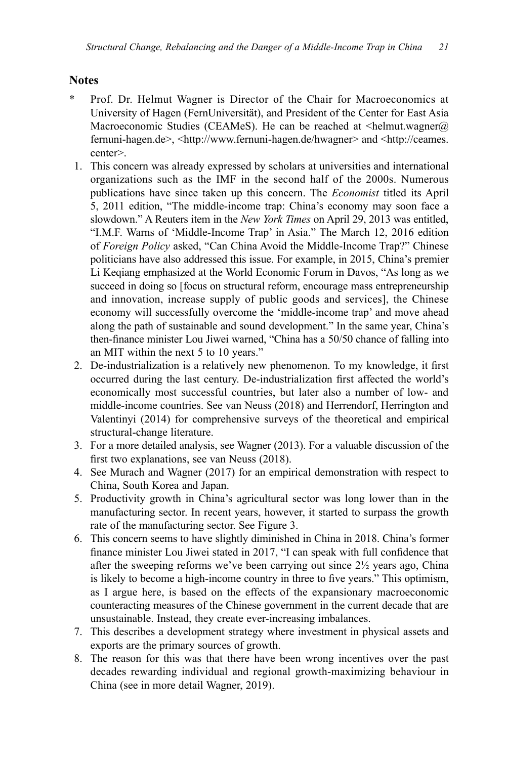# **Notes**

- \* Prof. Dr. Helmut Wagner is Director of the Chair for Macroeconomics at University of Hagen (FernUniversität), and President of the Center for East Asia Macroeconomic Studies (CEAMeS). He can be reached at <helmut.wagner@ fernuni-hagen.de>, <http://www.fernuni-hagen.de/hwagner> and <http://ceames. center>.
	- 1. This concern was already expressed by scholars at universities and international organizations such as the IMF in the second half of the 2000s. Numerous publications have since taken up this concern. The *Economist* titled its April 5, 2011 edition, "The middle-income trap: China's economy may soon face a slowdown." A Reuters item in the *New York Times* on April 29, 2013 was entitled, "I.M.F. Warns of 'Middle-Income Trap' in Asia." The March 12, 2016 edition of *Foreign Policy* asked, "Can China Avoid the Middle-Income Trap?" Chinese politicians have also addressed this issue. For example, in 2015, China's premier Li Keqiang emphasized at the World Economic Forum in Davos, "As long as we succeed in doing so [focus on structural reform, encourage mass entrepreneurship and innovation, increase supply of public goods and services], the Chinese economy will successfully overcome the 'middle-income trap' and move ahead along the path of sustainable and sound development." In the same year, China's then-finance minister Lou Jiwei warned, "China has a 50/50 chance of falling into an MIT within the next 5 to 10 years."
- 2. De-industrialization is a relatively new phenomenon. To my knowledge, it first occurred during the last century. De-industrialization first affected the world's economically most successful countries, but later also a number of low- and middle-income countries. See van Neuss (2018) and Herrendorf, Herrington and Valentinyi (2014) for comprehensive surveys of the theoretical and empirical structural-change literature.
- 3. For a more detailed analysis, see Wagner (2013). For a valuable discussion of the first two explanations, see van Neuss (2018).
- 4. See Murach and Wagner (2017) for an empirical demonstration with respect to China, South Korea and Japan.
- 5. Productivity growth in China's agricultural sector was long lower than in the manufacturing sector. In recent years, however, it started to surpass the growth rate of the manufacturing sector. See Figure 3.
- 6. This concern seems to have slightly diminished in China in 2018. China's former finance minister Lou Jiwei stated in 2017, "I can speak with full confidence that after the sweeping reforms we've been carrying out since 2½ years ago, China is likely to become a high-income country in three to five years." This optimism, as I argue here, is based on the effects of the expansionary macroeconomic counteracting measures of the Chinese government in the current decade that are unsustainable. Instead, they create ever-increasing imbalances.
- 7. This describes a development strategy where investment in physical assets and exports are the primary sources of growth.
- 8. The reason for this was that there have been wrong incentives over the past decades rewarding individual and regional growth-maximizing behaviour in China (see in more detail Wagner, 2019).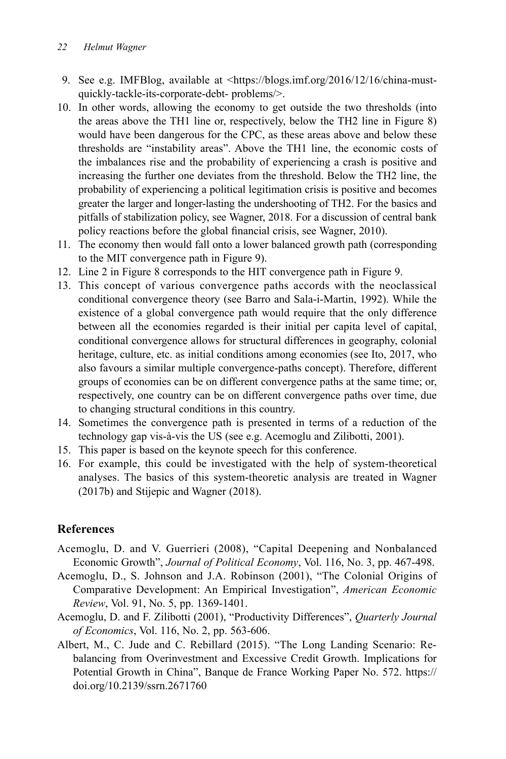#### *22 Helmut Wagner*

- 9. See e.g. IMFBlog, available at <https://blogs.imf.org/2016/12/16/china-mustquickly-tackle-its-corporate-debt- problems/>.
- 10. In other words, allowing the economy to get outside the two thresholds (into the areas above the TH1 line or, respectively, below the TH2 line in Figure 8) would have been dangerous for the CPC, as these areas above and below these thresholds are "instability areas". Above the TH1 line, the economic costs of the imbalances rise and the probability of experiencing a crash is positive and increasing the further one deviates from the threshold. Below the TH2 line, the probability of experiencing a political legitimation crisis is positive and becomes greater the larger and longer-lasting the undershooting of TH2. For the basics and pitfalls of stabilization policy, see Wagner, 2018. For a discussion of central bank policy reactions before the global financial crisis, see Wagner, 2010).
- 11. The economy then would fall onto a lower balanced growth path (corresponding to the MIT convergence path in Figure 9).
- 12. Line 2 in Figure 8 corresponds to the HIT convergence path in Figure 9.
- 13. This concept of various convergence paths accords with the neoclassical conditional convergence theory (see Barro and Sala-i-Martin, 1992). While the existence of a global convergence path would require that the only difference between all the economies regarded is their initial per capita level of capital, conditional convergence allows for structural differences in geography, colonial heritage, culture, etc. as initial conditions among economies (see Ito, 2017, who also favours a similar multiple convergence-paths concept). Therefore, different groups of economies can be on different convergence paths at the same time; or, respectively, one country can be on different convergence paths over time, due to changing structural conditions in this country.
- 14. Sometimes the convergence path is presented in terms of a reduction of the technology gap vis-à-vis the US (see e.g. Acemoglu and Zilibotti, 2001).
- 15. This paper is based on the keynote speech for this conference.
- 16. For example, this could be investigated with the help of system-theoretical analyses. The basics of this system-theoretic analysis are treated in Wagner (2017b) and Stijepic and Wagner (2018).

# **References**

- Acemoglu, D. and V. Guerrieri (2008), "Capital Deepening and Nonbalanced Economic Growth", *Journal of Political Economy*, Vol. 116, No. 3, pp. 467-498.
- Acemoglu, D., S. Johnson and J.A. Robinson (2001), "The Colonial Origins of Comparative Development: An Empirical Investigation", *American Economic Review*, Vol. 91, No. 5, pp. 1369-1401.
- Acemoglu, D. and F. Zilibotti (2001), "Productivity Differences", *Quarterly Journal of Economics*, Vol. 116, No. 2, pp. 563-606.
- Albert, M., C. Jude and C. Rebillard (2015). "The Long Landing Scenario: Rebalancing from Overinvestment and Excessive Credit Growth. Implications for Potential Growth in China", Banque de France Working Paper No. 572. https:// doi.org/10.2139/ssrn.2671760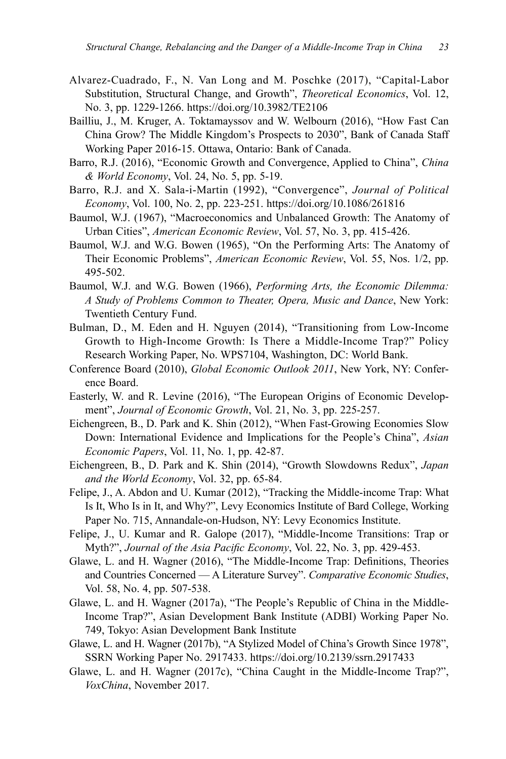- Alvarez-Cuadrado, F., N. Van Long and M. Poschke (2017), "Capital-Labor Substitution, Structural Change, and Growth", *Theoretical Economics*, Vol. 12, No. 3, pp. 1229-1266. https://doi.org/10.3982/TE2106
- Bailliu, J., M. Kruger, A. Toktamayssov and W. Welbourn (2016), "How Fast Can China Grow? The Middle Kingdom's Prospects to 2030", Bank of Canada Staff Working Paper 2016-15. Ottawa, Ontario: Bank of Canada.
- Barro, R.J. (2016), "Economic Growth and Convergence, Applied to China", *China & World Economy*, Vol. 24, No. 5, pp. 5-19.
- Barro, R.J. and X. Sala-i-Martin (1992), "Convergence", *Journal of Political Economy*, Vol. 100, No. 2, pp. 223-251. https://doi.org/10.1086/261816
- Baumol, W.J. (1967), "Macroeconomics and Unbalanced Growth: The Anatomy of Urban Cities", *American Economic Review*, Vol. 57, No. 3, pp. 415-426.
- Baumol, W.J. and W.G. Bowen (1965), "On the Performing Arts: The Anatomy of Their Economic Problems", *American Economic Review*, Vol. 55, Nos. 1/2, pp. 495-502.
- Baumol, W.J. and W.G. Bowen (1966), *Performing Arts, the Economic Dilemma: A Study of Problems Common to Theater, Opera, Music and Dance*, New York: Twentieth Century Fund.
- Bulman, D., M. Eden and H. Nguyen (2014), "Transitioning from Low-Income Growth to High-Income Growth: Is There a Middle-Income Trap?" Policy Research Working Paper, No. WPS7104, Washington, DC: World Bank.
- Conference Board (2010), *Global Economic Outlook 2011*, New York, NY: Conference Board.
- Easterly, W. and R. Levine (2016), "The European Origins of Economic Development", *Journal of Economic Growth*, Vol. 21, No. 3, pp. 225-257.
- Eichengreen, B., D. Park and K. Shin (2012), "When Fast-Growing Economies Slow Down: International Evidence and Implications for the People's China", *Asian Economic Papers*, Vol. 11, No. 1, pp. 42-87.
- Eichengreen, B., D. Park and K. Shin (2014), "Growth Slowdowns Redux", *Japan and the World Economy*, Vol. 32, pp. 65-84.
- Felipe, J., A. Abdon and U. Kumar (2012), "Tracking the Middle-income Trap: What Is It, Who Is in It, and Why?", Levy Economics Institute of Bard College, Working Paper No. 715, Annandale-on-Hudson, NY: Levy Economics Institute.
- Felipe, J., U. Kumar and R. Galope (2017), "Middle-Income Transitions: Trap or Myth?", *Journal of the Asia Pacific Economy*, Vol. 22, No. 3, pp. 429-453.
- Glawe, L. and H. Wagner (2016), "The Middle-Income Trap: Definitions, Theories and Countries Concerned — A Literature Survey". *Comparative Economic Studies*, Vol. 58, No. 4, pp. 507-538.
- Glawe, L. and H. Wagner (2017a), "The People's Republic of China in the Middle-Income Trap?", Asian Development Bank Institute (ADBI) Working Paper No. 749, Tokyo: Asian Development Bank Institute
- Glawe, L. and H. Wagner (2017b), "A Stylized Model of China's Growth Since 1978", SSRN Working Paper No. 2917433. https://doi.org/10.2139/ssrn.2917433
- Glawe, L. and H. Wagner (2017c), "China Caught in the Middle-Income Trap?", *VoxChina*, November 2017.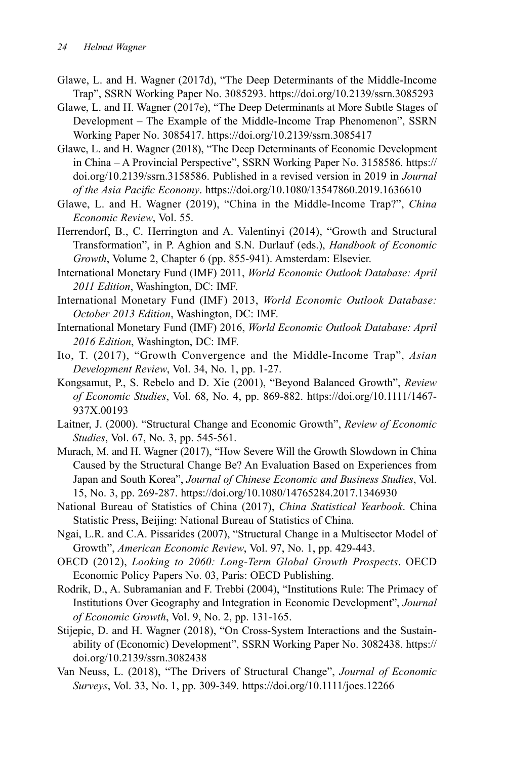- Glawe, L. and H. Wagner (2017d), "The Deep Determinants of the Middle-Income Trap", SSRN Working Paper No. 3085293. https://doi.org/10.2139/ssrn.3085293
- Glawe, L. and H. Wagner (2017e), "The Deep Determinants at More Subtle Stages of Development – The Example of the Middle-Income Trap Phenomenon", SSRN Working Paper No. 3085417. https://doi.org/10.2139/ssrn.3085417
- Glawe, L. and H. Wagner (2018), "The Deep Determinants of Economic Development in China – A Provincial Perspective", SSRN Working Paper No. 3158586. https:// doi.org/10.2139/ssrn.3158586. Published in a revised version in 2019 in *Journal of the Asia Pacific Economy*. https://doi.org/10.1080/13547860.2019.1636610
- Glawe, L. and H. Wagner (2019), "China in the Middle-Income Trap?", *China Economic Review*, Vol. 55.
- Herrendorf, B., C. Herrington and A. Valentinyi (2014), "Growth and Structural Transformation", in P. Aghion and S.N. Durlauf (eds.), *Handbook of Economic Growth*, Volume 2, Chapter 6 (pp. 855-941). Amsterdam: Elsevier.
- International Monetary Fund (IMF) 2011, *World Economic Outlook Database: April 2011 Edition*, Washington, DC: IMF.
- International Monetary Fund (IMF) 2013, *World Economic Outlook Database: October 2013 Edition*, Washington, DC: IMF.
- International Monetary Fund (IMF) 2016, *World Economic Outlook Database: April 2016 Edition*, Washington, DC: IMF.
- Ito, T. (2017), "Growth Convergence and the Middle-Income Trap", *Asian Development Review*, Vol. 34, No. 1, pp. 1-27.
- Kongsamut, P., S. Rebelo and D. Xie (2001), "Beyond Balanced Growth", *Review of Economic Studies*, Vol. 68, No. 4, pp. 869-882. https://doi.org/10.1111/1467- 937X.00193
- Laitner, J. (2000). "Structural Change and Economic Growth", *Review of Economic Studies*, Vol. 67, No. 3, pp. 545-561.
- Murach, M. and H. Wagner (2017), "How Severe Will the Growth Slowdown in China Caused by the Structural Change Be? An Evaluation Based on Experiences from Japan and South Korea", *Journal of Chinese Economic and Business Studies*, Vol. 15, No. 3, pp. 269-287. https://doi.org/10.1080/14765284.2017.1346930
- National Bureau of Statistics of China (2017), *China Statistical Yearbook*. China Statistic Press, Beijing: National Bureau of Statistics of China.
- Ngai, L.R. and C.A. Pissarides (2007), "Structural Change in a Multisector Model of Growth", *American Economic Review*, Vol. 97, No. 1, pp. 429-443.
- OECD (2012), *Looking to 2060: Long-Term Global Growth Prospects*. OECD Economic Policy Papers No. 03, Paris: OECD Publishing.
- Rodrik, D., A. Subramanian and F. Trebbi (2004), "Institutions Rule: The Primacy of Institutions Over Geography and Integration in Economic Development", *Journal of Economic Growth*, Vol. 9, No. 2, pp. 131-165.
- Stijepic, D. and H. Wagner (2018), "On Cross-System Interactions and the Sustainability of (Economic) Development", SSRN Working Paper No. 3082438. https:// doi.org/10.2139/ssrn.3082438
- Van Neuss, L. (2018), "The Drivers of Structural Change", *Journal of Economic Surveys*, Vol. 33, No. 1, pp. 309-349. https://doi.org/10.1111/joes.12266